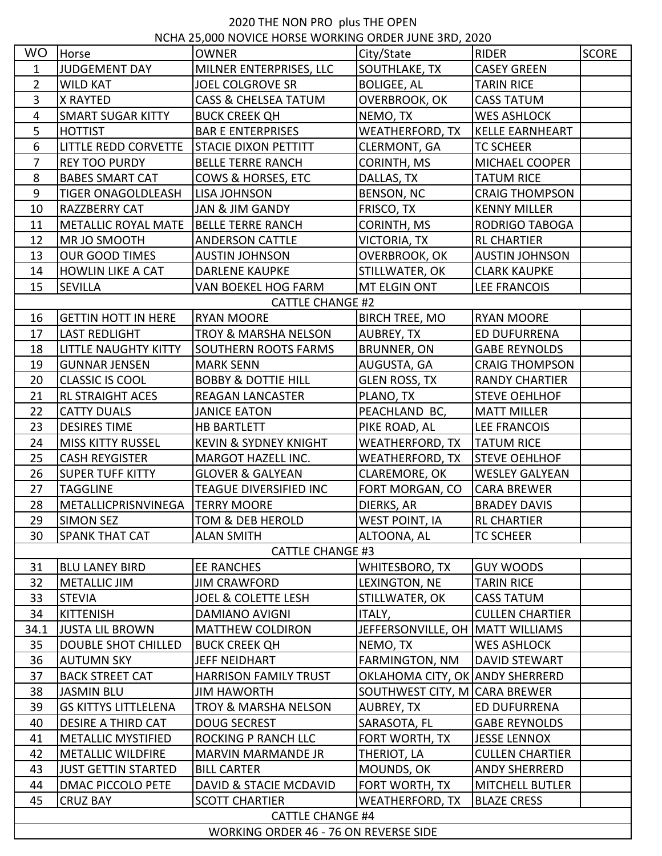## 2020 THE NON PRO plus THE OPEN

| JUDGEMENT DAY<br>MILNER ENTERPRISES, LLC<br>SOUTHLAKE, TX<br><b>CASEY GREEN</b><br>$\mathbf{1}$<br>$\overline{2}$<br><b>WILD KAT</b><br><b>JOEL COLGROVE SR</b><br><b>BOLIGEE, AL</b><br><b>TARIN RICE</b><br>3<br>X RAYTED<br><b>CASS &amp; CHELSEA TATUM</b><br>OVERBROOK, OK<br><b>CASS TATUM</b><br><b>SMART SUGAR KITTY</b><br>NEMO, TX<br><b>WES ASHLOCK</b><br>$\overline{4}$<br><b>BUCK CREEK QH</b><br>5<br><b>HOTTIST</b><br><b>BAR E ENTERPRISES</b><br>WEATHERFORD, TX<br><b>KELLE EARNHEART</b><br>6<br>LITTLE REDD CORVETTE<br><b>STACIE DIXON PETTITT</b><br>CLERMONT, GA<br><b>TC SCHEER</b><br>7<br><b>REY TOO PURDY</b><br><b>BELLE TERRE RANCH</b><br>CORINTH, MS<br>MICHAEL COOPER<br>8<br><b>BABES SMART CAT</b><br>COWS & HORSES, ETC<br>DALLAS, TX<br><b>TATUM RICE</b><br>9<br>BENSON, NC<br><b>TIGER ONAGOLDLEASH</b><br>LISA JOHNSON<br><b>CRAIG THOMPSON</b><br>RAZZBERRY CAT<br>FRISCO, TX<br>10<br>JAN & JIM GANDY<br><b>KENNY MILLER</b><br>CORINTH, MS<br>11<br><b>METALLIC ROYAL MATE</b><br><b>BELLE TERRE RANCH</b><br>RODRIGO TABOGA<br>12<br>MR JO SMOOTH<br><b>ANDERSON CATTLE</b><br>VICTORIA, TX<br><b>RL CHARTIER</b><br>13<br><b>OUR GOOD TIMES</b><br><b>AUSTIN JOHNSON</b><br>OVERBROOK, OK<br><b>AUSTIN JOHNSON</b><br><b>HOWLIN LIKE A CAT</b><br><b>DARLENE KAUPKE</b><br>STILLWATER, OK<br><b>CLARK KAUPKE</b><br>14<br>15<br>SEVILLA<br>MT ELGIN ONT<br>VAN BOEKEL HOG FARM<br><b>LEE FRANCOIS</b><br><b>CATTLE CHANGE #2</b><br><b>GETTIN HOTT IN HERE</b><br><b>RYAN MOORE</b><br><b>RYAN MOORE</b><br>16<br><b>BIRCH TREE, MO</b><br>17<br><b>LAST REDLIGHT</b><br><b>TROY &amp; MARSHA NELSON</b><br>AUBREY, TX<br>ED DUFURRENA<br>18<br>LITTLE NAUGHTY KITTY<br><b>SOUTHERN ROOTS FARMS</b><br>BRUNNER, ON<br><b>GABE REYNOLDS</b><br>19<br><b>GUNNAR JENSEN</b><br>AUGUSTA, GA<br><b>CRAIG THOMPSON</b><br><b>MARK SENN</b><br>20<br><b>CLASSIC IS COOL</b><br><b>BOBBY &amp; DOTTIE HILL</b><br><b>GLEN ROSS, TX</b><br><b>RANDY CHARTIER</b><br>21<br><b>RL STRAIGHT ACES</b><br><b>REAGAN LANCASTER</b><br>PLANO, TX<br><b>STEVE OEHLHOF</b><br>22<br><b>CATTY DUALS</b><br>PEACHLAND BC,<br><b>JANICE EATON</b><br><b>MATT MILLER</b><br>23<br><b>DESIRES TIME</b><br><b>HB BARTLETT</b><br>PIKE ROAD, AL<br><b>LEE FRANCOIS</b><br>24<br>WEATHERFORD, TX<br><b>MISS KITTY RUSSEL</b><br><b>KEVIN &amp; SYDNEY KNIGHT</b><br><b>TATUM RICE</b><br><b>STEVE OEHLHOF</b><br>25<br><b>CASH REYGISTER</b><br>MARGOT HAZELL INC.<br>WEATHERFORD, TX<br>26<br><b>SUPER TUFF KITTY</b><br><b>GLOVER &amp; GALYEAN</b><br>CLAREMORE, OK<br><b>WESLEY GALYEAN</b><br>27<br><b>TAGGLINE</b><br>TEAGUE DIVERSIFIED INC<br>FORT MORGAN, CO<br><b>CARA BREWER</b><br>28<br>DIERKS, AR<br>METALLICPRISNVINEGA<br><b>TERRY MOORE</b><br><b>BRADEY DAVIS</b><br>29<br>SIMON SEZ<br>TOM & DEB HEROLD<br><b>WEST POINT, IA</b><br><b>RL CHARTIER</b><br>30<br><b>SPANK THAT CAT</b><br><b>ALAN SMITH</b><br><b>TC SCHEER</b><br>ALTOONA, AL<br><b>CATTLE CHANGE #3</b><br><b>BLU LANEY BIRD</b><br><b>EE RANCHES</b><br><b>GUY WOODS</b><br>31<br>WHITESBORO, TX<br>32<br><b>METALLIC JIM</b><br>LEXINGTON, NE<br><b>TARIN RICE</b><br><b>JIM CRAWFORD</b><br><b>STEVIA</b><br><b>JOEL &amp; COLETTE LESH</b><br><b>CASS TATUM</b><br>33<br>STILLWATER, OK<br><b>KITTENISH</b><br>34<br><b>DAMIANO AVIGNI</b><br>ITALY,<br><b>CULLEN CHARTIER</b><br>34.1<br><b>JUSTA LIL BROWN</b><br><b>MATTHEW COLDIRON</b><br>JEFFERSONVILLE, OH MATT WILLIAMS<br>35<br><b>DOUBLE SHOT CHILLED</b><br><b>BUCK CREEK QH</b><br>NEMO, TX<br><b>WES ASHLOCK</b><br>36<br><b>AUTUMN SKY</b><br>JEFF NEIDHART<br>FARMINGTON, NM<br>DAVID STEWART<br>37<br><b>BACK STREET CAT</b><br><b>HARRISON FAMILY TRUST</b><br>OKLAHOMA CITY, OK ANDY SHERRERD<br>38<br><b>JASMIN BLU</b><br><b>JIM HAWORTH</b><br>SOUTHWEST CITY, M CARA BREWER<br>39<br><b>GS KITTYS LITTLELENA</b><br><b>TROY &amp; MARSHA NELSON</b><br>AUBREY, TX<br>ED DUFURRENA<br>40<br><b>DESIRE A THIRD CAT</b><br><b>DOUG SECREST</b><br>SARASOTA, FL<br><b>GABE REYNOLDS</b><br><b>METALLIC MYSTIFIED</b><br>ROCKING P RANCH LLC<br>FORT WORTH, TX<br><b>JESSE LENNOX</b><br>41<br><b>METALLIC WILDFIRE</b><br><b>CULLEN CHARTIER</b><br>42<br>MARVIN MARMANDE JR<br>THERIOT, LA<br>43<br><b>JUST GETTIN STARTED</b><br><b>BILL CARTER</b><br>MOUNDS, OK<br>ANDY SHERRERD<br>44<br><b>DMAC PICCOLO PETE</b><br>DAVID & STACIE MCDAVID<br>FORT WORTH, TX<br><b>MITCHELL BUTLER</b><br>45<br><b>CRUZ BAY</b><br><b>SCOTT CHARTIER</b><br><b>WEATHERFORD, TX</b><br><b>BLAZE CRESS</b><br><b>CATTLE CHANGE #4</b><br>WORKING ORDER 46 - 76 ON REVERSE SIDE | NCHA 25,000 NOVICE HORSE WORKING ORDER JUNE 3RD, 2020 |       |              |            |              |              |  |  |  |
|-------------------------------------------------------------------------------------------------------------------------------------------------------------------------------------------------------------------------------------------------------------------------------------------------------------------------------------------------------------------------------------------------------------------------------------------------------------------------------------------------------------------------------------------------------------------------------------------------------------------------------------------------------------------------------------------------------------------------------------------------------------------------------------------------------------------------------------------------------------------------------------------------------------------------------------------------------------------------------------------------------------------------------------------------------------------------------------------------------------------------------------------------------------------------------------------------------------------------------------------------------------------------------------------------------------------------------------------------------------------------------------------------------------------------------------------------------------------------------------------------------------------------------------------------------------------------------------------------------------------------------------------------------------------------------------------------------------------------------------------------------------------------------------------------------------------------------------------------------------------------------------------------------------------------------------------------------------------------------------------------------------------------------------------------------------------------------------------------------------------------------------------------------------------------------------------------------------------------------------------------------------------------------------------------------------------------------------------------------------------------------------------------------------------------------------------------------------------------------------------------------------------------------------------------------------------------------------------------------------------------------------------------------------------------------------------------------------------------------------------------------------------------------------------------------------------------------------------------------------------------------------------------------------------------------------------------------------------------------------------------------------------------------------------------------------------------------------------------------------------------------------------------------------------------------------------------------------------------------------------------------------------------------------------------------------------------------------------------------------------------------------------------------------------------------------------------------------------------------------------------------------------------------------------------------------------------------------------------------------------------------------------------------------------------------------------------------------------------------------------------------------------------------------------------------------------------------------------------------------------------------------------------------------------------------------------------------------------------------------------------------------------------------------------------------------------------------------------------------------------------------------------------------------------------------------------------------------------------------------------------------------------------------------------------------------------------------------------------------------------------------------------------------------------------------------------------------------------------------------------------------------------------------------------------------------------------------------------------------------------------------------------------|-------------------------------------------------------|-------|--------------|------------|--------------|--------------|--|--|--|
|                                                                                                                                                                                                                                                                                                                                                                                                                                                                                                                                                                                                                                                                                                                                                                                                                                                                                                                                                                                                                                                                                                                                                                                                                                                                                                                                                                                                                                                                                                                                                                                                                                                                                                                                                                                                                                                                                                                                                                                                                                                                                                                                                                                                                                                                                                                                                                                                                                                                                                                                                                                                                                                                                                                                                                                                                                                                                                                                                                                                                                                                                                                                                                                                                                                                                                                                                                                                                                                                                                                                                                                                                                                                                                                                                                                                                                                                                                                                                                                                                                                                                                                                                                                                                                                                                                                                                                                                                                                                                                                                                                                                                                                 | <b>WO</b>                                             | Horse | <b>OWNER</b> | City/State | <b>RIDER</b> | <b>SCORE</b> |  |  |  |
|                                                                                                                                                                                                                                                                                                                                                                                                                                                                                                                                                                                                                                                                                                                                                                                                                                                                                                                                                                                                                                                                                                                                                                                                                                                                                                                                                                                                                                                                                                                                                                                                                                                                                                                                                                                                                                                                                                                                                                                                                                                                                                                                                                                                                                                                                                                                                                                                                                                                                                                                                                                                                                                                                                                                                                                                                                                                                                                                                                                                                                                                                                                                                                                                                                                                                                                                                                                                                                                                                                                                                                                                                                                                                                                                                                                                                                                                                                                                                                                                                                                                                                                                                                                                                                                                                                                                                                                                                                                                                                                                                                                                                                                 |                                                       |       |              |            |              |              |  |  |  |
|                                                                                                                                                                                                                                                                                                                                                                                                                                                                                                                                                                                                                                                                                                                                                                                                                                                                                                                                                                                                                                                                                                                                                                                                                                                                                                                                                                                                                                                                                                                                                                                                                                                                                                                                                                                                                                                                                                                                                                                                                                                                                                                                                                                                                                                                                                                                                                                                                                                                                                                                                                                                                                                                                                                                                                                                                                                                                                                                                                                                                                                                                                                                                                                                                                                                                                                                                                                                                                                                                                                                                                                                                                                                                                                                                                                                                                                                                                                                                                                                                                                                                                                                                                                                                                                                                                                                                                                                                                                                                                                                                                                                                                                 |                                                       |       |              |            |              |              |  |  |  |
|                                                                                                                                                                                                                                                                                                                                                                                                                                                                                                                                                                                                                                                                                                                                                                                                                                                                                                                                                                                                                                                                                                                                                                                                                                                                                                                                                                                                                                                                                                                                                                                                                                                                                                                                                                                                                                                                                                                                                                                                                                                                                                                                                                                                                                                                                                                                                                                                                                                                                                                                                                                                                                                                                                                                                                                                                                                                                                                                                                                                                                                                                                                                                                                                                                                                                                                                                                                                                                                                                                                                                                                                                                                                                                                                                                                                                                                                                                                                                                                                                                                                                                                                                                                                                                                                                                                                                                                                                                                                                                                                                                                                                                                 |                                                       |       |              |            |              |              |  |  |  |
|                                                                                                                                                                                                                                                                                                                                                                                                                                                                                                                                                                                                                                                                                                                                                                                                                                                                                                                                                                                                                                                                                                                                                                                                                                                                                                                                                                                                                                                                                                                                                                                                                                                                                                                                                                                                                                                                                                                                                                                                                                                                                                                                                                                                                                                                                                                                                                                                                                                                                                                                                                                                                                                                                                                                                                                                                                                                                                                                                                                                                                                                                                                                                                                                                                                                                                                                                                                                                                                                                                                                                                                                                                                                                                                                                                                                                                                                                                                                                                                                                                                                                                                                                                                                                                                                                                                                                                                                                                                                                                                                                                                                                                                 |                                                       |       |              |            |              |              |  |  |  |
|                                                                                                                                                                                                                                                                                                                                                                                                                                                                                                                                                                                                                                                                                                                                                                                                                                                                                                                                                                                                                                                                                                                                                                                                                                                                                                                                                                                                                                                                                                                                                                                                                                                                                                                                                                                                                                                                                                                                                                                                                                                                                                                                                                                                                                                                                                                                                                                                                                                                                                                                                                                                                                                                                                                                                                                                                                                                                                                                                                                                                                                                                                                                                                                                                                                                                                                                                                                                                                                                                                                                                                                                                                                                                                                                                                                                                                                                                                                                                                                                                                                                                                                                                                                                                                                                                                                                                                                                                                                                                                                                                                                                                                                 |                                                       |       |              |            |              |              |  |  |  |
|                                                                                                                                                                                                                                                                                                                                                                                                                                                                                                                                                                                                                                                                                                                                                                                                                                                                                                                                                                                                                                                                                                                                                                                                                                                                                                                                                                                                                                                                                                                                                                                                                                                                                                                                                                                                                                                                                                                                                                                                                                                                                                                                                                                                                                                                                                                                                                                                                                                                                                                                                                                                                                                                                                                                                                                                                                                                                                                                                                                                                                                                                                                                                                                                                                                                                                                                                                                                                                                                                                                                                                                                                                                                                                                                                                                                                                                                                                                                                                                                                                                                                                                                                                                                                                                                                                                                                                                                                                                                                                                                                                                                                                                 |                                                       |       |              |            |              |              |  |  |  |
|                                                                                                                                                                                                                                                                                                                                                                                                                                                                                                                                                                                                                                                                                                                                                                                                                                                                                                                                                                                                                                                                                                                                                                                                                                                                                                                                                                                                                                                                                                                                                                                                                                                                                                                                                                                                                                                                                                                                                                                                                                                                                                                                                                                                                                                                                                                                                                                                                                                                                                                                                                                                                                                                                                                                                                                                                                                                                                                                                                                                                                                                                                                                                                                                                                                                                                                                                                                                                                                                                                                                                                                                                                                                                                                                                                                                                                                                                                                                                                                                                                                                                                                                                                                                                                                                                                                                                                                                                                                                                                                                                                                                                                                 |                                                       |       |              |            |              |              |  |  |  |
|                                                                                                                                                                                                                                                                                                                                                                                                                                                                                                                                                                                                                                                                                                                                                                                                                                                                                                                                                                                                                                                                                                                                                                                                                                                                                                                                                                                                                                                                                                                                                                                                                                                                                                                                                                                                                                                                                                                                                                                                                                                                                                                                                                                                                                                                                                                                                                                                                                                                                                                                                                                                                                                                                                                                                                                                                                                                                                                                                                                                                                                                                                                                                                                                                                                                                                                                                                                                                                                                                                                                                                                                                                                                                                                                                                                                                                                                                                                                                                                                                                                                                                                                                                                                                                                                                                                                                                                                                                                                                                                                                                                                                                                 |                                                       |       |              |            |              |              |  |  |  |
|                                                                                                                                                                                                                                                                                                                                                                                                                                                                                                                                                                                                                                                                                                                                                                                                                                                                                                                                                                                                                                                                                                                                                                                                                                                                                                                                                                                                                                                                                                                                                                                                                                                                                                                                                                                                                                                                                                                                                                                                                                                                                                                                                                                                                                                                                                                                                                                                                                                                                                                                                                                                                                                                                                                                                                                                                                                                                                                                                                                                                                                                                                                                                                                                                                                                                                                                                                                                                                                                                                                                                                                                                                                                                                                                                                                                                                                                                                                                                                                                                                                                                                                                                                                                                                                                                                                                                                                                                                                                                                                                                                                                                                                 |                                                       |       |              |            |              |              |  |  |  |
|                                                                                                                                                                                                                                                                                                                                                                                                                                                                                                                                                                                                                                                                                                                                                                                                                                                                                                                                                                                                                                                                                                                                                                                                                                                                                                                                                                                                                                                                                                                                                                                                                                                                                                                                                                                                                                                                                                                                                                                                                                                                                                                                                                                                                                                                                                                                                                                                                                                                                                                                                                                                                                                                                                                                                                                                                                                                                                                                                                                                                                                                                                                                                                                                                                                                                                                                                                                                                                                                                                                                                                                                                                                                                                                                                                                                                                                                                                                                                                                                                                                                                                                                                                                                                                                                                                                                                                                                                                                                                                                                                                                                                                                 |                                                       |       |              |            |              |              |  |  |  |
|                                                                                                                                                                                                                                                                                                                                                                                                                                                                                                                                                                                                                                                                                                                                                                                                                                                                                                                                                                                                                                                                                                                                                                                                                                                                                                                                                                                                                                                                                                                                                                                                                                                                                                                                                                                                                                                                                                                                                                                                                                                                                                                                                                                                                                                                                                                                                                                                                                                                                                                                                                                                                                                                                                                                                                                                                                                                                                                                                                                                                                                                                                                                                                                                                                                                                                                                                                                                                                                                                                                                                                                                                                                                                                                                                                                                                                                                                                                                                                                                                                                                                                                                                                                                                                                                                                                                                                                                                                                                                                                                                                                                                                                 |                                                       |       |              |            |              |              |  |  |  |
|                                                                                                                                                                                                                                                                                                                                                                                                                                                                                                                                                                                                                                                                                                                                                                                                                                                                                                                                                                                                                                                                                                                                                                                                                                                                                                                                                                                                                                                                                                                                                                                                                                                                                                                                                                                                                                                                                                                                                                                                                                                                                                                                                                                                                                                                                                                                                                                                                                                                                                                                                                                                                                                                                                                                                                                                                                                                                                                                                                                                                                                                                                                                                                                                                                                                                                                                                                                                                                                                                                                                                                                                                                                                                                                                                                                                                                                                                                                                                                                                                                                                                                                                                                                                                                                                                                                                                                                                                                                                                                                                                                                                                                                 |                                                       |       |              |            |              |              |  |  |  |
|                                                                                                                                                                                                                                                                                                                                                                                                                                                                                                                                                                                                                                                                                                                                                                                                                                                                                                                                                                                                                                                                                                                                                                                                                                                                                                                                                                                                                                                                                                                                                                                                                                                                                                                                                                                                                                                                                                                                                                                                                                                                                                                                                                                                                                                                                                                                                                                                                                                                                                                                                                                                                                                                                                                                                                                                                                                                                                                                                                                                                                                                                                                                                                                                                                                                                                                                                                                                                                                                                                                                                                                                                                                                                                                                                                                                                                                                                                                                                                                                                                                                                                                                                                                                                                                                                                                                                                                                                                                                                                                                                                                                                                                 |                                                       |       |              |            |              |              |  |  |  |
|                                                                                                                                                                                                                                                                                                                                                                                                                                                                                                                                                                                                                                                                                                                                                                                                                                                                                                                                                                                                                                                                                                                                                                                                                                                                                                                                                                                                                                                                                                                                                                                                                                                                                                                                                                                                                                                                                                                                                                                                                                                                                                                                                                                                                                                                                                                                                                                                                                                                                                                                                                                                                                                                                                                                                                                                                                                                                                                                                                                                                                                                                                                                                                                                                                                                                                                                                                                                                                                                                                                                                                                                                                                                                                                                                                                                                                                                                                                                                                                                                                                                                                                                                                                                                                                                                                                                                                                                                                                                                                                                                                                                                                                 |                                                       |       |              |            |              |              |  |  |  |
|                                                                                                                                                                                                                                                                                                                                                                                                                                                                                                                                                                                                                                                                                                                                                                                                                                                                                                                                                                                                                                                                                                                                                                                                                                                                                                                                                                                                                                                                                                                                                                                                                                                                                                                                                                                                                                                                                                                                                                                                                                                                                                                                                                                                                                                                                                                                                                                                                                                                                                                                                                                                                                                                                                                                                                                                                                                                                                                                                                                                                                                                                                                                                                                                                                                                                                                                                                                                                                                                                                                                                                                                                                                                                                                                                                                                                                                                                                                                                                                                                                                                                                                                                                                                                                                                                                                                                                                                                                                                                                                                                                                                                                                 |                                                       |       |              |            |              |              |  |  |  |
|                                                                                                                                                                                                                                                                                                                                                                                                                                                                                                                                                                                                                                                                                                                                                                                                                                                                                                                                                                                                                                                                                                                                                                                                                                                                                                                                                                                                                                                                                                                                                                                                                                                                                                                                                                                                                                                                                                                                                                                                                                                                                                                                                                                                                                                                                                                                                                                                                                                                                                                                                                                                                                                                                                                                                                                                                                                                                                                                                                                                                                                                                                                                                                                                                                                                                                                                                                                                                                                                                                                                                                                                                                                                                                                                                                                                                                                                                                                                                                                                                                                                                                                                                                                                                                                                                                                                                                                                                                                                                                                                                                                                                                                 |                                                       |       |              |            |              |              |  |  |  |
|                                                                                                                                                                                                                                                                                                                                                                                                                                                                                                                                                                                                                                                                                                                                                                                                                                                                                                                                                                                                                                                                                                                                                                                                                                                                                                                                                                                                                                                                                                                                                                                                                                                                                                                                                                                                                                                                                                                                                                                                                                                                                                                                                                                                                                                                                                                                                                                                                                                                                                                                                                                                                                                                                                                                                                                                                                                                                                                                                                                                                                                                                                                                                                                                                                                                                                                                                                                                                                                                                                                                                                                                                                                                                                                                                                                                                                                                                                                                                                                                                                                                                                                                                                                                                                                                                                                                                                                                                                                                                                                                                                                                                                                 |                                                       |       |              |            |              |              |  |  |  |
|                                                                                                                                                                                                                                                                                                                                                                                                                                                                                                                                                                                                                                                                                                                                                                                                                                                                                                                                                                                                                                                                                                                                                                                                                                                                                                                                                                                                                                                                                                                                                                                                                                                                                                                                                                                                                                                                                                                                                                                                                                                                                                                                                                                                                                                                                                                                                                                                                                                                                                                                                                                                                                                                                                                                                                                                                                                                                                                                                                                                                                                                                                                                                                                                                                                                                                                                                                                                                                                                                                                                                                                                                                                                                                                                                                                                                                                                                                                                                                                                                                                                                                                                                                                                                                                                                                                                                                                                                                                                                                                                                                                                                                                 |                                                       |       |              |            |              |              |  |  |  |
|                                                                                                                                                                                                                                                                                                                                                                                                                                                                                                                                                                                                                                                                                                                                                                                                                                                                                                                                                                                                                                                                                                                                                                                                                                                                                                                                                                                                                                                                                                                                                                                                                                                                                                                                                                                                                                                                                                                                                                                                                                                                                                                                                                                                                                                                                                                                                                                                                                                                                                                                                                                                                                                                                                                                                                                                                                                                                                                                                                                                                                                                                                                                                                                                                                                                                                                                                                                                                                                                                                                                                                                                                                                                                                                                                                                                                                                                                                                                                                                                                                                                                                                                                                                                                                                                                                                                                                                                                                                                                                                                                                                                                                                 |                                                       |       |              |            |              |              |  |  |  |
|                                                                                                                                                                                                                                                                                                                                                                                                                                                                                                                                                                                                                                                                                                                                                                                                                                                                                                                                                                                                                                                                                                                                                                                                                                                                                                                                                                                                                                                                                                                                                                                                                                                                                                                                                                                                                                                                                                                                                                                                                                                                                                                                                                                                                                                                                                                                                                                                                                                                                                                                                                                                                                                                                                                                                                                                                                                                                                                                                                                                                                                                                                                                                                                                                                                                                                                                                                                                                                                                                                                                                                                                                                                                                                                                                                                                                                                                                                                                                                                                                                                                                                                                                                                                                                                                                                                                                                                                                                                                                                                                                                                                                                                 |                                                       |       |              |            |              |              |  |  |  |
|                                                                                                                                                                                                                                                                                                                                                                                                                                                                                                                                                                                                                                                                                                                                                                                                                                                                                                                                                                                                                                                                                                                                                                                                                                                                                                                                                                                                                                                                                                                                                                                                                                                                                                                                                                                                                                                                                                                                                                                                                                                                                                                                                                                                                                                                                                                                                                                                                                                                                                                                                                                                                                                                                                                                                                                                                                                                                                                                                                                                                                                                                                                                                                                                                                                                                                                                                                                                                                                                                                                                                                                                                                                                                                                                                                                                                                                                                                                                                                                                                                                                                                                                                                                                                                                                                                                                                                                                                                                                                                                                                                                                                                                 |                                                       |       |              |            |              |              |  |  |  |
|                                                                                                                                                                                                                                                                                                                                                                                                                                                                                                                                                                                                                                                                                                                                                                                                                                                                                                                                                                                                                                                                                                                                                                                                                                                                                                                                                                                                                                                                                                                                                                                                                                                                                                                                                                                                                                                                                                                                                                                                                                                                                                                                                                                                                                                                                                                                                                                                                                                                                                                                                                                                                                                                                                                                                                                                                                                                                                                                                                                                                                                                                                                                                                                                                                                                                                                                                                                                                                                                                                                                                                                                                                                                                                                                                                                                                                                                                                                                                                                                                                                                                                                                                                                                                                                                                                                                                                                                                                                                                                                                                                                                                                                 |                                                       |       |              |            |              |              |  |  |  |
|                                                                                                                                                                                                                                                                                                                                                                                                                                                                                                                                                                                                                                                                                                                                                                                                                                                                                                                                                                                                                                                                                                                                                                                                                                                                                                                                                                                                                                                                                                                                                                                                                                                                                                                                                                                                                                                                                                                                                                                                                                                                                                                                                                                                                                                                                                                                                                                                                                                                                                                                                                                                                                                                                                                                                                                                                                                                                                                                                                                                                                                                                                                                                                                                                                                                                                                                                                                                                                                                                                                                                                                                                                                                                                                                                                                                                                                                                                                                                                                                                                                                                                                                                                                                                                                                                                                                                                                                                                                                                                                                                                                                                                                 |                                                       |       |              |            |              |              |  |  |  |
|                                                                                                                                                                                                                                                                                                                                                                                                                                                                                                                                                                                                                                                                                                                                                                                                                                                                                                                                                                                                                                                                                                                                                                                                                                                                                                                                                                                                                                                                                                                                                                                                                                                                                                                                                                                                                                                                                                                                                                                                                                                                                                                                                                                                                                                                                                                                                                                                                                                                                                                                                                                                                                                                                                                                                                                                                                                                                                                                                                                                                                                                                                                                                                                                                                                                                                                                                                                                                                                                                                                                                                                                                                                                                                                                                                                                                                                                                                                                                                                                                                                                                                                                                                                                                                                                                                                                                                                                                                                                                                                                                                                                                                                 |                                                       |       |              |            |              |              |  |  |  |
|                                                                                                                                                                                                                                                                                                                                                                                                                                                                                                                                                                                                                                                                                                                                                                                                                                                                                                                                                                                                                                                                                                                                                                                                                                                                                                                                                                                                                                                                                                                                                                                                                                                                                                                                                                                                                                                                                                                                                                                                                                                                                                                                                                                                                                                                                                                                                                                                                                                                                                                                                                                                                                                                                                                                                                                                                                                                                                                                                                                                                                                                                                                                                                                                                                                                                                                                                                                                                                                                                                                                                                                                                                                                                                                                                                                                                                                                                                                                                                                                                                                                                                                                                                                                                                                                                                                                                                                                                                                                                                                                                                                                                                                 |                                                       |       |              |            |              |              |  |  |  |
|                                                                                                                                                                                                                                                                                                                                                                                                                                                                                                                                                                                                                                                                                                                                                                                                                                                                                                                                                                                                                                                                                                                                                                                                                                                                                                                                                                                                                                                                                                                                                                                                                                                                                                                                                                                                                                                                                                                                                                                                                                                                                                                                                                                                                                                                                                                                                                                                                                                                                                                                                                                                                                                                                                                                                                                                                                                                                                                                                                                                                                                                                                                                                                                                                                                                                                                                                                                                                                                                                                                                                                                                                                                                                                                                                                                                                                                                                                                                                                                                                                                                                                                                                                                                                                                                                                                                                                                                                                                                                                                                                                                                                                                 |                                                       |       |              |            |              |              |  |  |  |
|                                                                                                                                                                                                                                                                                                                                                                                                                                                                                                                                                                                                                                                                                                                                                                                                                                                                                                                                                                                                                                                                                                                                                                                                                                                                                                                                                                                                                                                                                                                                                                                                                                                                                                                                                                                                                                                                                                                                                                                                                                                                                                                                                                                                                                                                                                                                                                                                                                                                                                                                                                                                                                                                                                                                                                                                                                                                                                                                                                                                                                                                                                                                                                                                                                                                                                                                                                                                                                                                                                                                                                                                                                                                                                                                                                                                                                                                                                                                                                                                                                                                                                                                                                                                                                                                                                                                                                                                                                                                                                                                                                                                                                                 |                                                       |       |              |            |              |              |  |  |  |
|                                                                                                                                                                                                                                                                                                                                                                                                                                                                                                                                                                                                                                                                                                                                                                                                                                                                                                                                                                                                                                                                                                                                                                                                                                                                                                                                                                                                                                                                                                                                                                                                                                                                                                                                                                                                                                                                                                                                                                                                                                                                                                                                                                                                                                                                                                                                                                                                                                                                                                                                                                                                                                                                                                                                                                                                                                                                                                                                                                                                                                                                                                                                                                                                                                                                                                                                                                                                                                                                                                                                                                                                                                                                                                                                                                                                                                                                                                                                                                                                                                                                                                                                                                                                                                                                                                                                                                                                                                                                                                                                                                                                                                                 |                                                       |       |              |            |              |              |  |  |  |
|                                                                                                                                                                                                                                                                                                                                                                                                                                                                                                                                                                                                                                                                                                                                                                                                                                                                                                                                                                                                                                                                                                                                                                                                                                                                                                                                                                                                                                                                                                                                                                                                                                                                                                                                                                                                                                                                                                                                                                                                                                                                                                                                                                                                                                                                                                                                                                                                                                                                                                                                                                                                                                                                                                                                                                                                                                                                                                                                                                                                                                                                                                                                                                                                                                                                                                                                                                                                                                                                                                                                                                                                                                                                                                                                                                                                                                                                                                                                                                                                                                                                                                                                                                                                                                                                                                                                                                                                                                                                                                                                                                                                                                                 |                                                       |       |              |            |              |              |  |  |  |
|                                                                                                                                                                                                                                                                                                                                                                                                                                                                                                                                                                                                                                                                                                                                                                                                                                                                                                                                                                                                                                                                                                                                                                                                                                                                                                                                                                                                                                                                                                                                                                                                                                                                                                                                                                                                                                                                                                                                                                                                                                                                                                                                                                                                                                                                                                                                                                                                                                                                                                                                                                                                                                                                                                                                                                                                                                                                                                                                                                                                                                                                                                                                                                                                                                                                                                                                                                                                                                                                                                                                                                                                                                                                                                                                                                                                                                                                                                                                                                                                                                                                                                                                                                                                                                                                                                                                                                                                                                                                                                                                                                                                                                                 |                                                       |       |              |            |              |              |  |  |  |
|                                                                                                                                                                                                                                                                                                                                                                                                                                                                                                                                                                                                                                                                                                                                                                                                                                                                                                                                                                                                                                                                                                                                                                                                                                                                                                                                                                                                                                                                                                                                                                                                                                                                                                                                                                                                                                                                                                                                                                                                                                                                                                                                                                                                                                                                                                                                                                                                                                                                                                                                                                                                                                                                                                                                                                                                                                                                                                                                                                                                                                                                                                                                                                                                                                                                                                                                                                                                                                                                                                                                                                                                                                                                                                                                                                                                                                                                                                                                                                                                                                                                                                                                                                                                                                                                                                                                                                                                                                                                                                                                                                                                                                                 |                                                       |       |              |            |              |              |  |  |  |
|                                                                                                                                                                                                                                                                                                                                                                                                                                                                                                                                                                                                                                                                                                                                                                                                                                                                                                                                                                                                                                                                                                                                                                                                                                                                                                                                                                                                                                                                                                                                                                                                                                                                                                                                                                                                                                                                                                                                                                                                                                                                                                                                                                                                                                                                                                                                                                                                                                                                                                                                                                                                                                                                                                                                                                                                                                                                                                                                                                                                                                                                                                                                                                                                                                                                                                                                                                                                                                                                                                                                                                                                                                                                                                                                                                                                                                                                                                                                                                                                                                                                                                                                                                                                                                                                                                                                                                                                                                                                                                                                                                                                                                                 |                                                       |       |              |            |              |              |  |  |  |
|                                                                                                                                                                                                                                                                                                                                                                                                                                                                                                                                                                                                                                                                                                                                                                                                                                                                                                                                                                                                                                                                                                                                                                                                                                                                                                                                                                                                                                                                                                                                                                                                                                                                                                                                                                                                                                                                                                                                                                                                                                                                                                                                                                                                                                                                                                                                                                                                                                                                                                                                                                                                                                                                                                                                                                                                                                                                                                                                                                                                                                                                                                                                                                                                                                                                                                                                                                                                                                                                                                                                                                                                                                                                                                                                                                                                                                                                                                                                                                                                                                                                                                                                                                                                                                                                                                                                                                                                                                                                                                                                                                                                                                                 |                                                       |       |              |            |              |              |  |  |  |
|                                                                                                                                                                                                                                                                                                                                                                                                                                                                                                                                                                                                                                                                                                                                                                                                                                                                                                                                                                                                                                                                                                                                                                                                                                                                                                                                                                                                                                                                                                                                                                                                                                                                                                                                                                                                                                                                                                                                                                                                                                                                                                                                                                                                                                                                                                                                                                                                                                                                                                                                                                                                                                                                                                                                                                                                                                                                                                                                                                                                                                                                                                                                                                                                                                                                                                                                                                                                                                                                                                                                                                                                                                                                                                                                                                                                                                                                                                                                                                                                                                                                                                                                                                                                                                                                                                                                                                                                                                                                                                                                                                                                                                                 |                                                       |       |              |            |              |              |  |  |  |
|                                                                                                                                                                                                                                                                                                                                                                                                                                                                                                                                                                                                                                                                                                                                                                                                                                                                                                                                                                                                                                                                                                                                                                                                                                                                                                                                                                                                                                                                                                                                                                                                                                                                                                                                                                                                                                                                                                                                                                                                                                                                                                                                                                                                                                                                                                                                                                                                                                                                                                                                                                                                                                                                                                                                                                                                                                                                                                                                                                                                                                                                                                                                                                                                                                                                                                                                                                                                                                                                                                                                                                                                                                                                                                                                                                                                                                                                                                                                                                                                                                                                                                                                                                                                                                                                                                                                                                                                                                                                                                                                                                                                                                                 |                                                       |       |              |            |              |              |  |  |  |
|                                                                                                                                                                                                                                                                                                                                                                                                                                                                                                                                                                                                                                                                                                                                                                                                                                                                                                                                                                                                                                                                                                                                                                                                                                                                                                                                                                                                                                                                                                                                                                                                                                                                                                                                                                                                                                                                                                                                                                                                                                                                                                                                                                                                                                                                                                                                                                                                                                                                                                                                                                                                                                                                                                                                                                                                                                                                                                                                                                                                                                                                                                                                                                                                                                                                                                                                                                                                                                                                                                                                                                                                                                                                                                                                                                                                                                                                                                                                                                                                                                                                                                                                                                                                                                                                                                                                                                                                                                                                                                                                                                                                                                                 |                                                       |       |              |            |              |              |  |  |  |
|                                                                                                                                                                                                                                                                                                                                                                                                                                                                                                                                                                                                                                                                                                                                                                                                                                                                                                                                                                                                                                                                                                                                                                                                                                                                                                                                                                                                                                                                                                                                                                                                                                                                                                                                                                                                                                                                                                                                                                                                                                                                                                                                                                                                                                                                                                                                                                                                                                                                                                                                                                                                                                                                                                                                                                                                                                                                                                                                                                                                                                                                                                                                                                                                                                                                                                                                                                                                                                                                                                                                                                                                                                                                                                                                                                                                                                                                                                                                                                                                                                                                                                                                                                                                                                                                                                                                                                                                                                                                                                                                                                                                                                                 |                                                       |       |              |            |              |              |  |  |  |
|                                                                                                                                                                                                                                                                                                                                                                                                                                                                                                                                                                                                                                                                                                                                                                                                                                                                                                                                                                                                                                                                                                                                                                                                                                                                                                                                                                                                                                                                                                                                                                                                                                                                                                                                                                                                                                                                                                                                                                                                                                                                                                                                                                                                                                                                                                                                                                                                                                                                                                                                                                                                                                                                                                                                                                                                                                                                                                                                                                                                                                                                                                                                                                                                                                                                                                                                                                                                                                                                                                                                                                                                                                                                                                                                                                                                                                                                                                                                                                                                                                                                                                                                                                                                                                                                                                                                                                                                                                                                                                                                                                                                                                                 |                                                       |       |              |            |              |              |  |  |  |
|                                                                                                                                                                                                                                                                                                                                                                                                                                                                                                                                                                                                                                                                                                                                                                                                                                                                                                                                                                                                                                                                                                                                                                                                                                                                                                                                                                                                                                                                                                                                                                                                                                                                                                                                                                                                                                                                                                                                                                                                                                                                                                                                                                                                                                                                                                                                                                                                                                                                                                                                                                                                                                                                                                                                                                                                                                                                                                                                                                                                                                                                                                                                                                                                                                                                                                                                                                                                                                                                                                                                                                                                                                                                                                                                                                                                                                                                                                                                                                                                                                                                                                                                                                                                                                                                                                                                                                                                                                                                                                                                                                                                                                                 |                                                       |       |              |            |              |              |  |  |  |
|                                                                                                                                                                                                                                                                                                                                                                                                                                                                                                                                                                                                                                                                                                                                                                                                                                                                                                                                                                                                                                                                                                                                                                                                                                                                                                                                                                                                                                                                                                                                                                                                                                                                                                                                                                                                                                                                                                                                                                                                                                                                                                                                                                                                                                                                                                                                                                                                                                                                                                                                                                                                                                                                                                                                                                                                                                                                                                                                                                                                                                                                                                                                                                                                                                                                                                                                                                                                                                                                                                                                                                                                                                                                                                                                                                                                                                                                                                                                                                                                                                                                                                                                                                                                                                                                                                                                                                                                                                                                                                                                                                                                                                                 |                                                       |       |              |            |              |              |  |  |  |
|                                                                                                                                                                                                                                                                                                                                                                                                                                                                                                                                                                                                                                                                                                                                                                                                                                                                                                                                                                                                                                                                                                                                                                                                                                                                                                                                                                                                                                                                                                                                                                                                                                                                                                                                                                                                                                                                                                                                                                                                                                                                                                                                                                                                                                                                                                                                                                                                                                                                                                                                                                                                                                                                                                                                                                                                                                                                                                                                                                                                                                                                                                                                                                                                                                                                                                                                                                                                                                                                                                                                                                                                                                                                                                                                                                                                                                                                                                                                                                                                                                                                                                                                                                                                                                                                                                                                                                                                                                                                                                                                                                                                                                                 |                                                       |       |              |            |              |              |  |  |  |
|                                                                                                                                                                                                                                                                                                                                                                                                                                                                                                                                                                                                                                                                                                                                                                                                                                                                                                                                                                                                                                                                                                                                                                                                                                                                                                                                                                                                                                                                                                                                                                                                                                                                                                                                                                                                                                                                                                                                                                                                                                                                                                                                                                                                                                                                                                                                                                                                                                                                                                                                                                                                                                                                                                                                                                                                                                                                                                                                                                                                                                                                                                                                                                                                                                                                                                                                                                                                                                                                                                                                                                                                                                                                                                                                                                                                                                                                                                                                                                                                                                                                                                                                                                                                                                                                                                                                                                                                                                                                                                                                                                                                                                                 |                                                       |       |              |            |              |              |  |  |  |
|                                                                                                                                                                                                                                                                                                                                                                                                                                                                                                                                                                                                                                                                                                                                                                                                                                                                                                                                                                                                                                                                                                                                                                                                                                                                                                                                                                                                                                                                                                                                                                                                                                                                                                                                                                                                                                                                                                                                                                                                                                                                                                                                                                                                                                                                                                                                                                                                                                                                                                                                                                                                                                                                                                                                                                                                                                                                                                                                                                                                                                                                                                                                                                                                                                                                                                                                                                                                                                                                                                                                                                                                                                                                                                                                                                                                                                                                                                                                                                                                                                                                                                                                                                                                                                                                                                                                                                                                                                                                                                                                                                                                                                                 |                                                       |       |              |            |              |              |  |  |  |
|                                                                                                                                                                                                                                                                                                                                                                                                                                                                                                                                                                                                                                                                                                                                                                                                                                                                                                                                                                                                                                                                                                                                                                                                                                                                                                                                                                                                                                                                                                                                                                                                                                                                                                                                                                                                                                                                                                                                                                                                                                                                                                                                                                                                                                                                                                                                                                                                                                                                                                                                                                                                                                                                                                                                                                                                                                                                                                                                                                                                                                                                                                                                                                                                                                                                                                                                                                                                                                                                                                                                                                                                                                                                                                                                                                                                                                                                                                                                                                                                                                                                                                                                                                                                                                                                                                                                                                                                                                                                                                                                                                                                                                                 |                                                       |       |              |            |              |              |  |  |  |
|                                                                                                                                                                                                                                                                                                                                                                                                                                                                                                                                                                                                                                                                                                                                                                                                                                                                                                                                                                                                                                                                                                                                                                                                                                                                                                                                                                                                                                                                                                                                                                                                                                                                                                                                                                                                                                                                                                                                                                                                                                                                                                                                                                                                                                                                                                                                                                                                                                                                                                                                                                                                                                                                                                                                                                                                                                                                                                                                                                                                                                                                                                                                                                                                                                                                                                                                                                                                                                                                                                                                                                                                                                                                                                                                                                                                                                                                                                                                                                                                                                                                                                                                                                                                                                                                                                                                                                                                                                                                                                                                                                                                                                                 |                                                       |       |              |            |              |              |  |  |  |
|                                                                                                                                                                                                                                                                                                                                                                                                                                                                                                                                                                                                                                                                                                                                                                                                                                                                                                                                                                                                                                                                                                                                                                                                                                                                                                                                                                                                                                                                                                                                                                                                                                                                                                                                                                                                                                                                                                                                                                                                                                                                                                                                                                                                                                                                                                                                                                                                                                                                                                                                                                                                                                                                                                                                                                                                                                                                                                                                                                                                                                                                                                                                                                                                                                                                                                                                                                                                                                                                                                                                                                                                                                                                                                                                                                                                                                                                                                                                                                                                                                                                                                                                                                                                                                                                                                                                                                                                                                                                                                                                                                                                                                                 |                                                       |       |              |            |              |              |  |  |  |
|                                                                                                                                                                                                                                                                                                                                                                                                                                                                                                                                                                                                                                                                                                                                                                                                                                                                                                                                                                                                                                                                                                                                                                                                                                                                                                                                                                                                                                                                                                                                                                                                                                                                                                                                                                                                                                                                                                                                                                                                                                                                                                                                                                                                                                                                                                                                                                                                                                                                                                                                                                                                                                                                                                                                                                                                                                                                                                                                                                                                                                                                                                                                                                                                                                                                                                                                                                                                                                                                                                                                                                                                                                                                                                                                                                                                                                                                                                                                                                                                                                                                                                                                                                                                                                                                                                                                                                                                                                                                                                                                                                                                                                                 |                                                       |       |              |            |              |              |  |  |  |
|                                                                                                                                                                                                                                                                                                                                                                                                                                                                                                                                                                                                                                                                                                                                                                                                                                                                                                                                                                                                                                                                                                                                                                                                                                                                                                                                                                                                                                                                                                                                                                                                                                                                                                                                                                                                                                                                                                                                                                                                                                                                                                                                                                                                                                                                                                                                                                                                                                                                                                                                                                                                                                                                                                                                                                                                                                                                                                                                                                                                                                                                                                                                                                                                                                                                                                                                                                                                                                                                                                                                                                                                                                                                                                                                                                                                                                                                                                                                                                                                                                                                                                                                                                                                                                                                                                                                                                                                                                                                                                                                                                                                                                                 |                                                       |       |              |            |              |              |  |  |  |
|                                                                                                                                                                                                                                                                                                                                                                                                                                                                                                                                                                                                                                                                                                                                                                                                                                                                                                                                                                                                                                                                                                                                                                                                                                                                                                                                                                                                                                                                                                                                                                                                                                                                                                                                                                                                                                                                                                                                                                                                                                                                                                                                                                                                                                                                                                                                                                                                                                                                                                                                                                                                                                                                                                                                                                                                                                                                                                                                                                                                                                                                                                                                                                                                                                                                                                                                                                                                                                                                                                                                                                                                                                                                                                                                                                                                                                                                                                                                                                                                                                                                                                                                                                                                                                                                                                                                                                                                                                                                                                                                                                                                                                                 |                                                       |       |              |            |              |              |  |  |  |
|                                                                                                                                                                                                                                                                                                                                                                                                                                                                                                                                                                                                                                                                                                                                                                                                                                                                                                                                                                                                                                                                                                                                                                                                                                                                                                                                                                                                                                                                                                                                                                                                                                                                                                                                                                                                                                                                                                                                                                                                                                                                                                                                                                                                                                                                                                                                                                                                                                                                                                                                                                                                                                                                                                                                                                                                                                                                                                                                                                                                                                                                                                                                                                                                                                                                                                                                                                                                                                                                                                                                                                                                                                                                                                                                                                                                                                                                                                                                                                                                                                                                                                                                                                                                                                                                                                                                                                                                                                                                                                                                                                                                                                                 |                                                       |       |              |            |              |              |  |  |  |